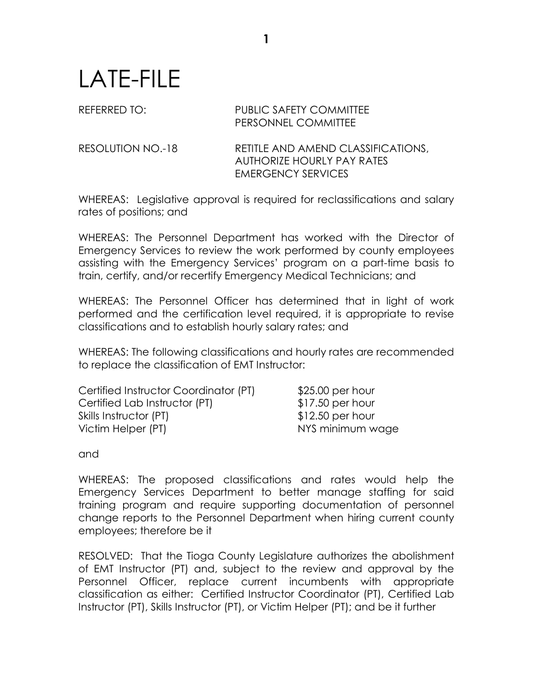## LATE-FILE

## REFERRED TO: PUBLIC SAFETY COMMITTEE PERSONNEL COMMITTEE

RESOLUTION NO.-18 RETITLE AND AMEND CLASSIFICATIONS, AUTHORIZE HOURLY PAY RATES EMERGENCY SERVICES

WHEREAS: Legislative approval is required for reclassifications and salary rates of positions; and

WHEREAS: The Personnel Department has worked with the Director of Emergency Services to review the work performed by county employees assisting with the Emergency Services' program on a part-time basis to train, certify, and/or recertify Emergency Medical Technicians; and

WHEREAS: The Personnel Officer has determined that in light of work performed and the certification level required, it is appropriate to revise classifications and to establish hourly salary rates; and

WHEREAS: The following classifications and hourly rates are recommended to replace the classification of EMT Instructor:

| $$25.00$ per hour |
|-------------------|
| $$17.50$ per hour |
| $$12.50$ per hour |
| NYS minimum wage  |
|                   |

and

WHEREAS: The proposed classifications and rates would help the Emergency Services Department to better manage staffing for said training program and require supporting documentation of personnel change reports to the Personnel Department when hiring current county employees; therefore be it

RESOLVED: That the Tioga County Legislature authorizes the abolishment of EMT Instructor (PT) and, subject to the review and approval by the Personnel Officer, replace current incumbents with appropriate classification as either: Certified Instructor Coordinator (PT), Certified Lab Instructor (PT), Skills Instructor (PT), or Victim Helper (PT); and be it further